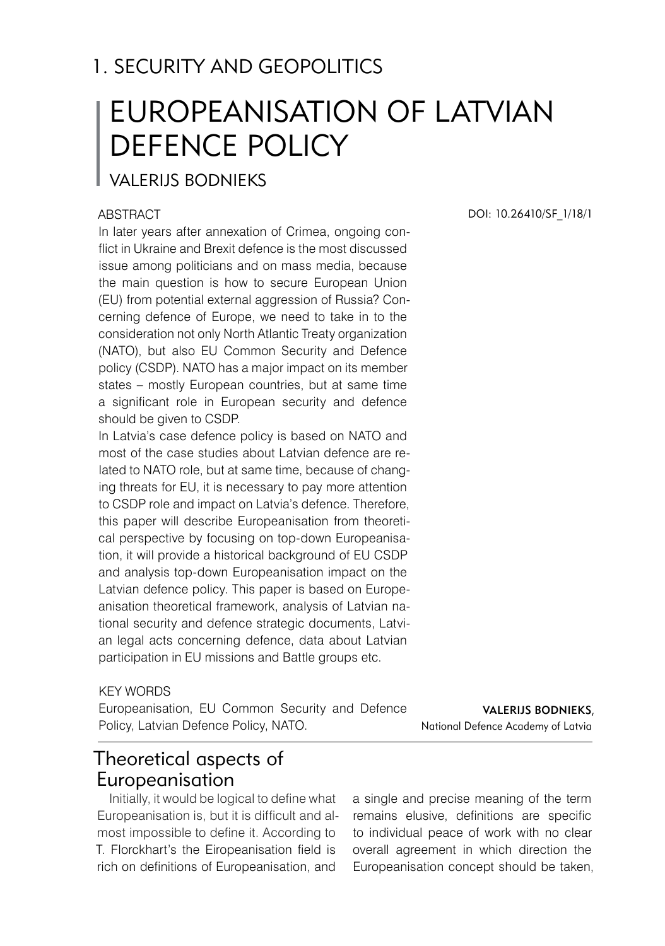## 1. SECURITY AND GEOPOLITICS

# EUROPEANISATION OF LATVIAN DEFENCE POLICY

### VALERIJS BODNIEKS

#### **ABSTRACT**

In later years after annexation of Crimea, ongoing conflict in Ukraine and Brexit defence is the most discussed issue among politicians and on mass media, because the main question is how to secure European Union (EU) from potential external aggression of Russia? Concerning defence of Europe, we need to take in to the consideration not only North Atlantic Treaty organization (NATO), but also EU Common Security and Defence policy (CSDP). NATO has a major impact on its member states – mostly European countries, but at same time a significant role in European security and defence should be given to CSDP.

In Latvia's case defence policy is based on NATO and most of the case studies about Latvian defence are related to NATO role, but at same time, because of changing threats for EU, it is necessary to pay more attention to CSDP role and impact on Latvia's defence. Therefore, this paper will describe Europeanisation from theoretical perspective by focusing on top-down Europeanisation, it will provide a historical background of EU CSDP and analysis top-down Europeanisation impact on the Latvian defence policy. This paper is based on Europeanisation theoretical framework, analysis of Latvian national security and defence strategic documents, Latvian legal acts concerning defence, data about Latvian participation in EU missions and Battle groups etc.

#### KEY WORDS

Europeanisation, EU Common Security and Defence Policy, Latvian Defence Policy, NATO.

Valerijs Bodnieks, National Defence Academy of Latvia

### Theoretical aspects of Europeanisation

Initially, it would be logical to define what Europeanisation is, but it is difficult and almost impossible to define it. According to T. Florckhart's the Eiropeanisation field is rich on definitions of Europeanisation, and

a single and precise meaning of the term remains elusive, definitions are specific to individual peace of work with no clear overall agreement in which direction the Europeanisation concept should be taken,

DOI: 10.26410/SF\_1/18/1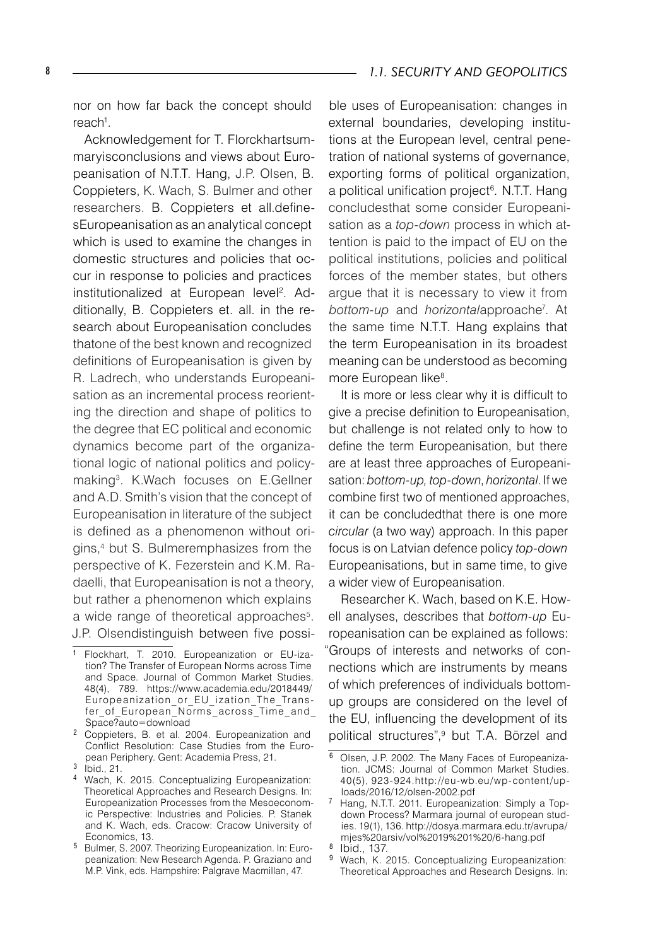#### *1.1. SECURITY AND GEOPOLITICS*

nor on how far back the concept should reach .

Acknowledgement for T. Florckhartsummaryisconclusions and views about Europeanisation of N.T.T. Hang, J.P. Olsen, B. Coppieters, K. Wach, S. Bulmer and other researchers. B. Coppieters et all.definesEuropeanisation as an analytical concept which is used to examine the changes in domestic structures and policies that occur in response to policies and practices institutionalized at European level . Additionally, B. Coppieters et. all. in the research about Europeanisation concludes thatone of the best known and recognized definitions of Europeanisation is given by R. Ladrech, who understands Europeanisation as an incremental process reorienting the direction and shape of politics to the degree that EC political and economic dynamics become part of the organizational logic of national politics and policymaking . K.Wach focuses on E.Gellner and A.D. Smith's vision that the concept of Europeanisation in literature of the subject is defined as a phenomenon without origins, but S. Bulmeremphasizes from the perspective of K. Fezerstein and K.M. Radaelli, that Europeanisation is not a theory, but rather a phenomenon which explains a wide range of theoretical approaches . J.P. Olsendistinguish between five possible uses of Europeanisation: changes in external boundaries, developing institutions at the European level, central penetration of national systems of governance, exporting forms of political organization, a political unification project*.* N.T.T. Hang concludesthat some consider Europeanisation as a *top-down* process in which attention is paid to the impact of EU on the political institutions, policies and political forces of the member states, but others argue that it is necessary to view it from *bottom-up* and *horizontalapproache<sup>7</sup>.* At the same time N.T.T. Hang explains that the term Europeanisation in its broadest meaning can be understood as becoming more European like<sup>8</sup>.

It is more or less clear why it is difficult to give a precise definition to Europeanisation, but challenge is not related only to how to define the term Europeanisation, but there are at least three approaches of Europeanisation: *bottom-up, top-down*, *horizontal*. If we combine first two of mentioned approaches, it can be concludedthat there is one more *circular* (a two way) approach. In this paper focus is on Latvian defence policy *top-down* Europeanisations, but in same time, to give a wider view of Europeanisation.

Researcher K. Wach, based on K.E. Howell analyses, describes that *bottom-up* Europeanisation can be explained as follows: "Groups of interests and networks of connections which are instruments by means of which preferences of individuals bottomup groups are considered on the level of the EU, influencing the development of its political structures",<sup>9</sup> but T.A. Börzel and

8 Ibid., 137.

Flockhart, T. 2010. Europeanization or EU-ization? The Transfer of European Norms across Time and Space. Journal of Common Market Studies. 48(4), 789. https://www.academia.edu/2018449/ Europeanization\_or\_ EU\_ization\_The\_Transfer\_of\_European\_Norms\_across\_Time\_and\_ Space?auto=download

Coppieters, B. et al. 2004. Europeanization and Conflict Resolution: Case Studies from the European Periphery. Gent: Academia Press, 21.

<sup>3</sup> Ibid., 21.

Wach, K. 2015. Conceptualizing Europeanization: Theoretical Approaches and Research Designs. In: Europeanization Processes from the Mesoeconomic Perspective: Industries and Policies. P. Stanek and K. Wach, eds. Cracow: Cracow University of Economics, 13.

<sup>&</sup>lt;sup>5</sup> Bulmer, S. 2007. Theorizing Europeanization. In: Europeanization: New Research Agenda. P. Graziano and M.P. Vink, eds. Hampshire: Palgrave Macmillan, 47.

<sup>&</sup>lt;sup>6</sup> Olsen, J.P. 2002. The Many Faces of Europeanization. JCMS: Journal of Common Market Studies. 40(5), 923-924.http://eu-wb.eu/wp-content/uploads/2016/12/olsen-2002.pdf

<sup>&</sup>lt;sup>7</sup> Hang, N.T.T. 2011. Europeanization: Simply a Topdown Process? Marmara journal of european studies. 19(1), 136. http://dosya.marmara.edu.tr/avrupa/ mjes%20arsiv/vol%2019%201%20/6-hang.pdf

<sup>&</sup>lt;sup>9</sup> Wach, K. 2015. Conceptualizing Europeanization: Theoretical Approaches and Research Designs. In: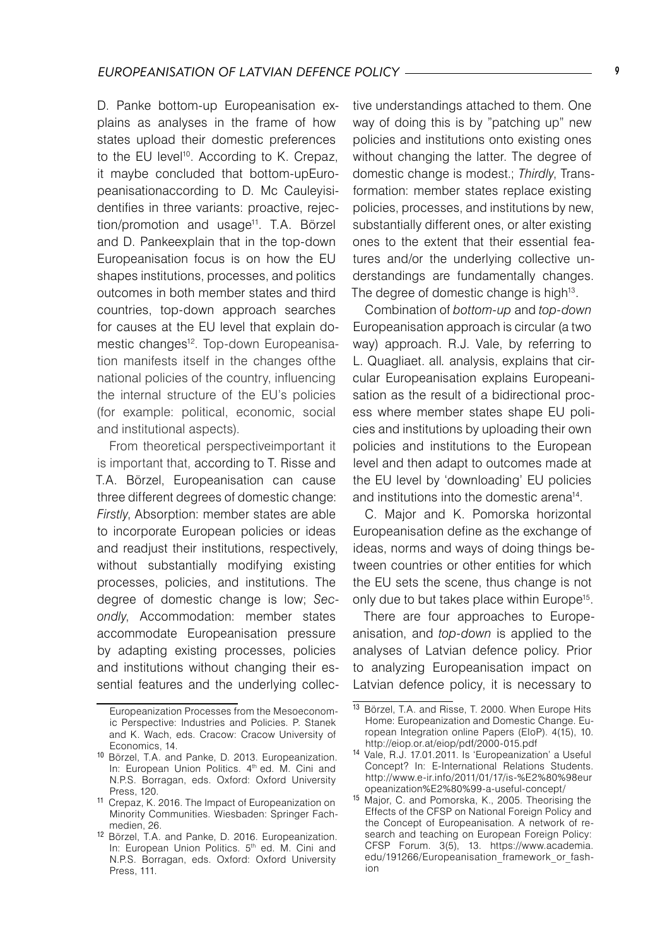D. Panke bottom-up Europeanisation explains as analyses in the frame of how states upload their domestic preferences to the EU level<sup>10</sup>. According to K. Crepaz, it maybe concluded that bottom-upEuropeanisationaccording to D. Mc Cauleyisidentifies in three variants: proactive, rejection/promotion and usage<sup>11</sup>. T.A. Börzel and D. Pankeexplain that in the top-down Europeanisation focus is on how the EU shapes institutions, processes, and politics outcomes in both member states and third countries, top-down approach searches for causes at the EU level that explain domestic changes<sup>12</sup>. Top-down Europeanisation manifests itself in the changes ofthe national policies of the country, influencing the internal structure of the EU's policies (for example: political, economic, social and institutional aspects).

From theoretical perspectiveimportant it is important that, according to T. Risse and T.A. Börzel, Europeanisation can cause three different degrees of domestic change: *Firstly*, Absorption: member states are able to incorporate European policies or ideas and readjust their institutions, respectively, without substantially modifying existing processes, policies, and institutions. The degree of domestic change is low; *Secondly*, Accommodation: member states accommodate Europeanisation pressure by adapting existing processes, policies and institutions without changing their essential features and the underlying collec-

tive understandings attached to them. One way of doing this is by "patching up" new policies and institutions onto existing ones without changing the latter. The degree of domestic change is modest.; *Thirdly*, Transformation: member states replace existing policies, processes, and institutions by new, substantially different ones, or alter existing ones to the extent that their essential features and/or the underlying collective understandings are fundamentally changes. The degree of domestic change is high<sup>13</sup>.

Combination of *bottom-up* and *top-down* Europeanisation approach is circular (a two way) approach. R.J. Vale, by referring to L. Quagliaet. all*.* analysis, explains that circular Europeanisation explains Europeanisation as the result of a bidirectional process where member states shape EU policies and institutions by uploading their own policies and institutions to the European level and then adapt to outcomes made at the EU level by 'downloading' EU policies and institutions into the domestic arena14.

C. Major and K. Pomorska horizontal Europeanisation define as the exchange of ideas, norms and ways of doing things between countries or other entities for which the EU sets the scene, thus change is not only due to but takes place within Europe<sup>15</sup>.

There are four approaches to Europeanisation, and *top-down* is applied to the analyses of Latvian defence policy. Prior to analyzing Europeanisation impact on Latvian defence policy, it is necessary to

Europeanization Processes from the Mesoeconomic Perspective: Industries and Policies. P. Stanek and K. Wach, eds. Cracow: Cracow University of Economics, 14.

<sup>10</sup> Börzel, T.A. and Panke, D. 2013. Europeanization. In: European Union Politics. 4<sup>th</sup> ed. M. Cini and N.P.S. Borragan, eds. Oxford: Oxford University Press, 120.

<sup>11</sup> Crepaz, K. 2016. The Impact of Europeanization on Minority Communities. Wiesbaden: Springer Fachmedien, 26.

<sup>12</sup> Börzel, T.A. and Panke, D. 2016. Europeanization. In: European Union Politics. 5<sup>th</sup> ed. M. Cini and N.P.S. Borragan, eds. Oxford: Oxford University Press, 111.

<sup>13</sup> Börzel, T.A. and Risse, T. 2000. When Europe Hits Home: Europeanization and Domestic Change. European Integration online Papers (EIoP). 4(15), 10. http://eiop.or.at/eiop/pdf/2000-015.pdf

<sup>14</sup> Vale, R.J. 17.01.2011. Is 'Europeanization' a Useful Concept? In: E-International Relations Students. http://www.e-ir.info/2011/01/17/is-%E2%80%98eur opeanization%E2%80%99-a-useful-concept/

<sup>15</sup> Major, C. and Pomorska, K., 2005. Theorising the Effects of the CFSP on National Foreign Policy and the Concept of Europeanisation. A network of research and teaching on European Foreign Policy: CFSP Forum. 3(5), 13. https://www.academia. edu/191266/Europeanisation framework or fashion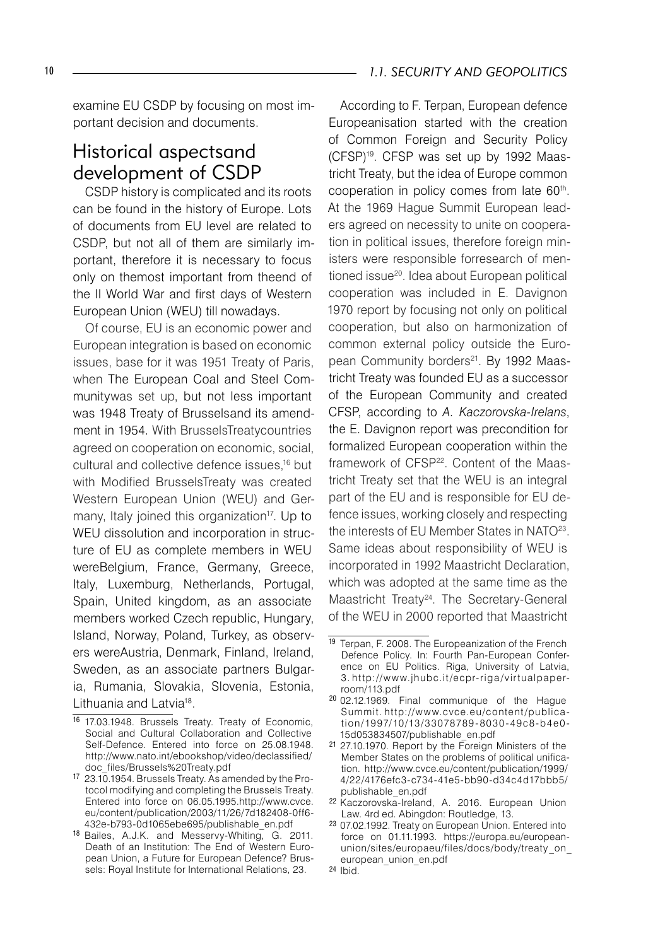examine EU CSDP by focusing on most important decision and documents.

### Historical aspectsand development of CSDP

CSDP history is complicated and its roots can be found in the history of Europe. Lots of documents from EU level are related to CSDP, but not all of them are similarly important, therefore it is necessary to focus only on themost important from theend of the II World War and first days of Western European Union (WEU) till nowadays.

Of course, EU is an economic power and European integration is based on economic issues, base for it was 1951 Treaty of Paris, when The European Coal and Steel Communitywas set up, but not less important was 1948 Treaty of Brusselsand its amendment in 1954. With BrusselsTreatycountries agreed on cooperation on economic, social, cultural and collective defence issues,<sup>16</sup> but with Modified BrusselsTreaty was created Western European Union (WEU) and Germany, Italy joined this organization<sup>17</sup>. Up to WEU dissolution and incorporation in structure of EU as complete members in WEU wereBelgium, France, Germany, Greece, Italy, Luxemburg, Netherlands, Portugal, Spain, United kingdom, as an associate members worked Czech republic, Hungary, Island, Norway, Poland, Turkey, as observers wereAustria, Denmark, Finland, Ireland, Sweden, as an associate partners Bulgaria, Rumania, Slovakia, Slovenia, Estonia, Lithuania and Latvia<sup>18</sup>.

According to F. Terpan, European defence Europeanisation started with the creation of Common Foreign and Security Policy (CFSP)19 . CFSP was set up by 1992 Maastricht Treaty, but the idea of Europe common cooperation in policy comes from late 60<sup>th</sup>. At the 1969 Hague Summit European leaders agreed on necessity to unite on cooperation in political issues, therefore foreign ministers were responsible forresearch of mentioned issue<sup>20</sup>. Idea about European political cooperation was included in E. Davignon 1970 report by focusing not only on political cooperation, but also on harmonization of common external policy outside the European Community borders<sup>21</sup>. By 1992 Maastricht Treaty was founded EU as a successor of the European Community and created CFSP, according to *A. Kaczorovska-Irelans*, the E. Davignon report was precondition for formalized European cooperation within the framework of CFSP<sup>22</sup>. Content of the Maastricht Treaty set that the WEU is an integral part of the EU and is responsible for EU defence issues, working closely and respecting the interests of EU Member States in NATO<sup>23</sup>. Same ideas about responsibility of WEU is incorporated in 1992 Maastricht Declaration, which was adopted at the same time as the Maastricht Treaty<sup>24</sup>. The Secretary-General of the WEU in 2000 reported that Maastricht

<sup>24</sup> Ibid.

 $16$  17.03.1948. Brussels Treaty. Treaty of Economic, Social and Cultural Collaboration and Collective Self-Defence. Entered into force on 25.08.1948. http://www.nato.int/ebookshop/video/declassified/ doc\_files/Brussels%20Treaty.pdf

<sup>17</sup> 23.10.1954. Brussels Treaty. As amended by the Protocol modifying and completing the Brussels Treaty. Entered into force on 06.05.1995.http://www.cvce. eu/content/publication/2003/11/26/7d182408-0ff6- 432e-b793-0d1065ebe695/publishable\_en.pdf

<sup>18</sup> Bailes, A.J.K. and Messervy-Whiting, G. 2011. Death of an Institution: The End of Western European Union, a Future for European Defence? Brussels: Royal Institute for International Relations, 23.

<sup>19</sup> Terpan, F. 2008. The Europeanization of the French Defence Policy. In: Fourth Pan-European Conference on EU Politics. Riga, University of Latvia, 3. http://w w w.jhubc.it/ecpr-riga /virtualpaperroom/113.pdf

<sup>20</sup> 02.12.1969. Final communique of the Hague Summit. http://www.cvce.eu/content/publication/1997/10/13/33078789 -8030 -49c8-b4e0 - 15d053834507/publishable\_en.pdf

<sup>21</sup> 27.10.1970. Report by the Foreign Ministers of the Member States on the problems of political unification. http://www.cvce.eu/content/publication/1999/ 4/22/4176efc3-c734-41e5-bb90-d34c4d17bbb5/ publishable\_en.pdf

<sup>22</sup> Kaczorovska-Ireland, A. 2016. European Union Law. 4rd ed. Abingdon: Routledge, 13.

<sup>23</sup> 07.02.1992. Treaty on European Union. Entered into force on 01.11.1993. https://europa.eu/europeanunion/sites/europaeu/files/docs/body/treaty\_on\_ european\_union\_en.pdf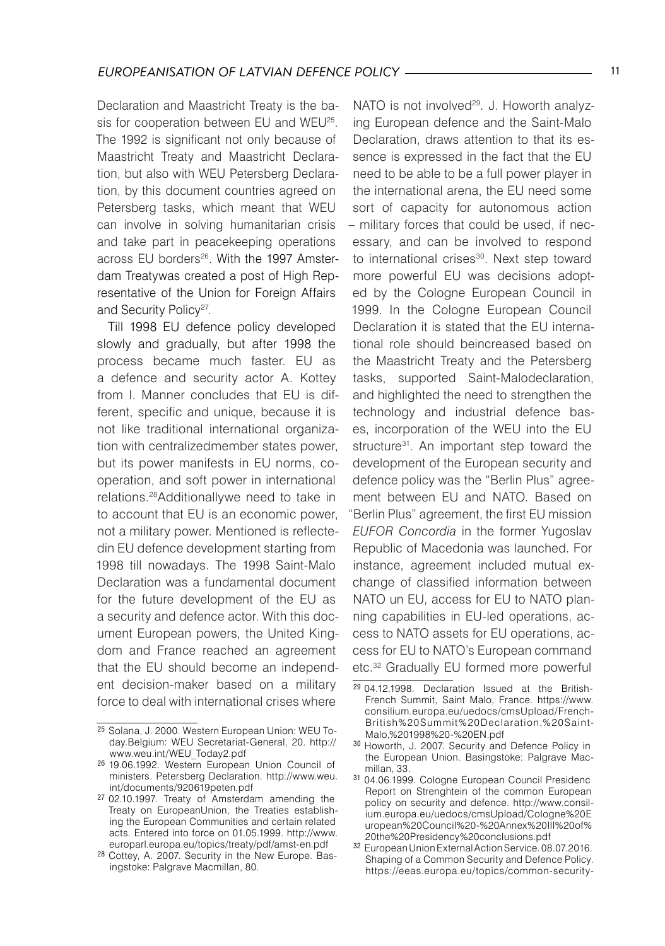Declaration and Maastricht Treaty is the basis for cooperation between EU and WEU<sup>25</sup>. The 1992 is significant not only because of Maastricht Treaty and Maastricht Declaration, but also with WEU Petersberg Declaration, by this document countries agreed on Petersberg tasks, which meant that WEU can involve in solving humanitarian crisis and take part in peacekeeping operations across EU borders<sup>26</sup>. With the 1997 Amsterdam Treatywas created a post of High Representative of the Union for Foreign Affairs and Security Policy<sup>27</sup>.

Till 1998 EU defence policy developed slowly and gradually, but after 1998 the process became much faster. EU as a defence and security actor A. Kottey from I. Manner concludes that EU is different, specific and unique, because it is not like traditional international organization with centralizedmember states power, but its power manifests in EU norms, cooperation, and soft power in international relations.28Additionallywe need to take in to account that EU is an economic power, not a military power. Mentioned is reflectedin EU defence development starting from 1998 till nowadays. The 1998 Saint-Malo Declaration was a fundamental document for the future development of the EU as a security and defence actor. With this document European powers, the United Kingdom and France reached an agreement that the EU should become an independent decision-maker based on a military force to deal with international crises where

NATO is not involved<sup>29</sup>. J. Howorth analyzing European defence and the Saint-Malo Declaration, draws attention to that its essence is expressed in the fact that the EU need to be able to be a full power player in the international arena, the EU need some sort of capacity for autonomous action – military forces that could be used, if necessary, and can be involved to respond to international crises<sup>30</sup>. Next step toward more powerful EU was decisions adopted by the Cologne European Council in 1999. In the Cologne European Council Declaration it is stated that the EU international role should beincreased based on the Maastricht Treaty and the Petersberg tasks, supported Saint-Malodeclaration, and highlighted the need to strengthen the technology and industrial defence bases, incorporation of the WEU into the EU structure<sup>31</sup>. An important step toward the development of the European security and defence policy was the "Berlin Plus" agreement between EU and NATO. Based on "Berlin Plus" agreement, the first EU mission *EUFOR Concordia* in the former Yugoslav Republic of Macedonia was launched. For instance, agreement included mutual exchange of classified information between NATO un EU, access for EU to NATO planning capabilities in EU-led operations, access to NATO assets for EU operations, access for EU to NATO's European command etc.32 Gradually EU formed more powerful

<sup>25</sup> Solana, J. 2000. Western European Union: WEU Today.Belgium: WEU Secretariat-General, 20. http:// www.weu.int/WEU\_Today2.pdf

<sup>26</sup> 19.06.1992. Western European Union Council of ministers. Petersberg Declaration. http://www.weu. int/documents/920619peten.pdf

<sup>27</sup> 02.10.1997. Treaty of Amsterdam amending the Treaty on EuropeanUnion, the Treaties establishing the European Communities and certain related acts. Entered into force on 01.05.1999. http://www. europarl.europa.eu/topics/treaty/pdf/amst-en.pdf

<sup>28</sup> Cottey, A. 2007. Security in the New Europe. Basingstoke: Palgrave Macmillan, 80.

<sup>29 04.12.1998.</sup> Declaration Issued at the British-French Summit, Saint Malo, France. https://www. consilium.europa.eu/uedocs/cmsUpload/French-British%20Summit%20Declaration,%20Saint-Malo,%201998%20-%20EN.pdf

<sup>30</sup> Howorth, J. 2007. Security and Defence Policy in the European Union. Basingstoke: Palgrave Macmillan, 33.

<sup>31</sup> 04.06.1999. Cologne European Council Presidenc Report on Strenghtein of the common European policy on security and defence. http://www.consilium.europa.eu/uedocs/cmsUpload/Cologne%20E uropean%20Council%20-%20Annex%20III%20of% 20the%20Presidency%20conclusions.pdf

<sup>32</sup> European Union External Action Service. 08.07.2016. Shaping of a Common Security and Defence Policy. https://eeas.europa.eu/topics/common-security-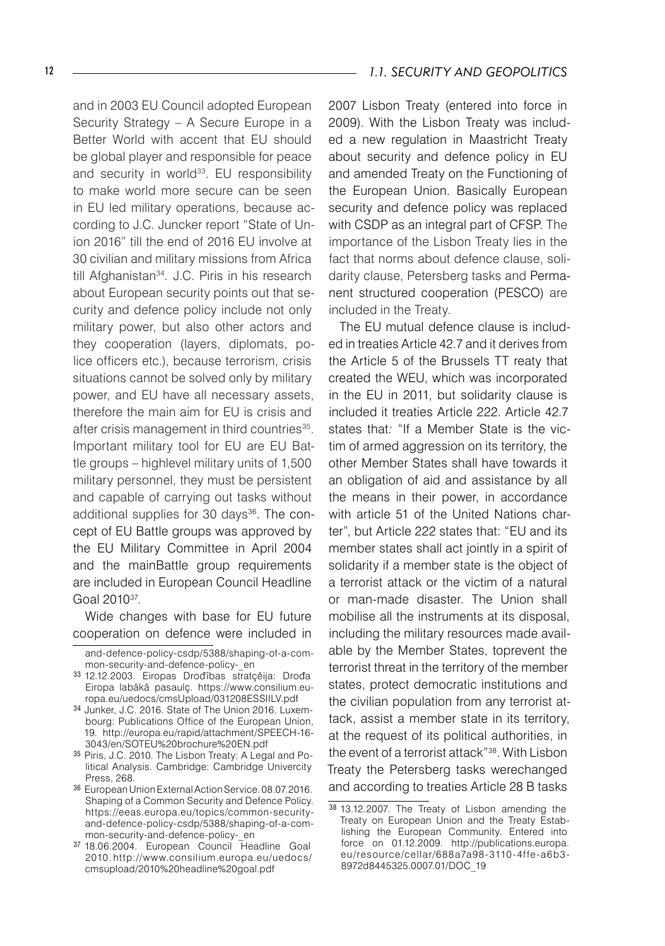and in 2003 EU Council adopted European Security Strategy – A Secure Europe in a

Better World with accent that EU should be global player and responsible for peace and security in world<sup>33</sup>. EU responsibility to make world more secure can be seen in EU led military operations, because according to J.C. Juncker report "State of Union 2016" till the end of 2016 EU involve at 30 civilian and military missions from Africa till Afghanistan34*.* J.C. Piris in his research about European security points out that security and defence policy include not only military power, but also other actors and they cooperation (layers, diplomats, police officers etc.), because terrorism, crisis situations cannot be solved only by military power, and EU have all necessary assets, therefore the main aim for EU is crisis and after crisis management in third countries<sup>35</sup>. Important military tool for EU are EU Battle groups – highlevel military units of 1,500 military personnel, they must be persistent and capable of carrying out tasks without additional supplies for 30 days<sup>36</sup>. The concept of EU Battle groups was approved by the EU Military Committee in April 2004 and the mainBattle group requirements are included in European Council Headline Goal 2010<sup>37</sup>.

Wide changes with base for EU future cooperation on defence were included in 2007 Lisbon Treaty (entered into force in 2009). With the Lisbon Treaty was included a new regulation in Maastricht Treaty about security and defence policy in EU and amended Treaty on the Functioning of

the European Union. Basically European security and defence policy was replaced with CSDP as an integral part of CFSP. The importance of the Lisbon Treaty lies in the fact that norms about defence clause, solidarity clause, Petersberg tasks and Permanent structured cooperation (PESCO) are included in the Treaty.

The EU mutual defence clause is included in treaties Article 42.7 and it derives from the Article 5 of the Brussels TT reaty that created the WEU, which was incorporated in the EU in 2011, but solidarity clause is included it treaties Article 222. Article 42.7 states that*:* "If a Member State is the victim of armed aggression on its territory, the other Member States shall have towards it an obligation of aid and assistance by all the means in their power, in accordance with article 51 of the United Nations charter", but Article 222 states that: "EU and its member states shall act jointly in a spirit of solidarity if a member state is the object of a terrorist attack or the victim of a natural or man-made disaster. The Union shall mobilise all the instruments at its disposal, including the military resources made available by the Member States, toprevent the terrorist threat in the territory of the member states, protect democratic institutions and the civilian population from any terrorist attack, assist a member state in its territory, at the request of its political authorities, in the event of a terrorist attack"38 . With Lisbon Treaty the Petersberg tasks werechanged and according to treaties Article 28 B tasks

and-defence-policy-csdp/5388/shaping-of-a-common-security-and-defence-policy-\_en

<sup>&</sup>lt;sup>33</sup> 12.12.2003. Eiropas Drođîbas stratçěija: Drođa Eiropa labâkâ pasaulç. https://www.consilium.europa.eu/uedocs/cmsUpload/031208ESSIILV.pdf

<sup>34</sup> Junker, J.C. 2016. State of The Union 2016. Luxembourg: Publications Office of the European Union, 19. http://europa.eu/rapid/attachment/SPEECH-16- 3043/en/SOTEU%20brochure%20EN.pdf

<sup>35</sup> Piris, J.C. 2010. The Lisbon Treaty: A Legal and Political Analysis. Cambridge: Cambridge Univercity Press, 268.

<sup>36</sup> European Union External Action Service. 08.07.2016. Shaping of a Common Security and Defence Policy. https://eeas.europa.eu/topics/common-securityand-defence-policy-csdp/5388/shaping-of-a-common-security-and-defence-policy-\_en

<sup>37</sup> 18.06.2004. European Council Headline Goal 2010. http://www.consilium.europa.eu/uedocs/ cmsupload/2010%20headline%20goal.pdf

 $38$  13.12.2007. The Treaty of Lisbon amending the Treaty on European Union and the Treaty Establishing the European Community. Entered into force on 01.12.2009. http://publications.europa. eu/resource/cellar/688a7a98-3110-4ffe-a6b3- 8972d8445325.0007.01/DOC\_19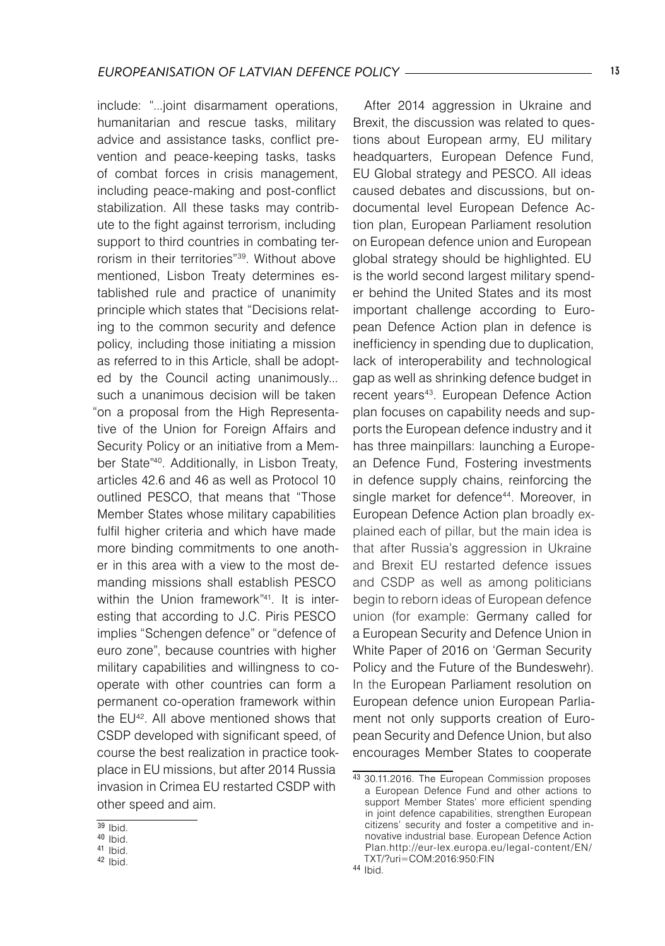include: "...joint disarmament operations, humanitarian and rescue tasks, military advice and assistance tasks, conflict prevention and peace-keeping tasks, tasks of combat forces in crisis management, including peace-making and post-conflict stabilization. All these tasks may contribute to the fight against terrorism, including support to third countries in combating terrorism in their territories"39 . Without above mentioned, Lisbon Treaty determines established rule and practice of unanimity principle which states that "Decisions relating to the common security and defence policy, including those initiating a mission as referred to in this Article, shall be adopted by the Council acting unanimously... such a unanimous decision will be taken "on a proposal from the High Representative of the Union for Foreign Affairs and Security Policy or an initiative from a Member State"40 . Additionally, in Lisbon Treaty, articles 42.6 and 46 as well as Protocol 10 outlined PESCO, that means that "Those Member States whose military capabilities fulfil higher criteria and which have made more binding commitments to one another in this area with a view to the most demanding missions shall establish PESCO within the Union framework"<sup>41</sup>. It is interesting that according to J.C. Piris PESCO implies "Schengen defence" or "defence of euro zone", because countries with higher military capabilities and willingness to cooperate with other countries can form a permanent co-operation framework within the EU42. All above mentioned shows that CSDP developed with significant speed, of course the best realization in practice tookplace in EU missions, but after 2014 Russia invasion in Crimea EU restarted CSDP with other speed and aim.

After 2014 aggression in Ukraine and Brexit, the discussion was related to questions about European army, EU military headquarters, European Defence Fund, EU Global strategy and PESCO. All ideas caused debates and discussions, but ondocumental level European Defence Action plan, European Parliament resolution on European defence union and European global strategy should be highlighted. EU is the world second largest military spender behind the United States and its most important challenge according to European Defence Action plan in defence is inefficiency in spending due to duplication, lack of interoperability and technological gap as well as shrinking defence budget in recent years<sup>43</sup>. European Defence Action plan focuses on capability needs and supports the European defence industry and it has three mainpillars: launching a European Defence Fund, Fostering investments in defence supply chains, reinforcing the single market for defence<sup>44</sup>. Moreover, in European Defence Action plan broadly explained each of pillar, but the main idea is that after Russia's aggression in Ukraine and Brexit EU restarted defence issues and CSDP as well as among politicians begin to reborn ideas of European defence union (for example: Germany called for a European Security and Defence Union in White Paper of 2016 on 'German Security Policy and the Future of the Bundeswehr). In the European Parliament resolution on European defence union European Parliament not only supports creation of European Security and Defence Union, but also encourages Member States to cooperate

<sup>39</sup> Ibid. <sup>40</sup> Ibid.

<sup>41</sup> Ibid.

<sup>42</sup> Ibid.

<sup>43 30.11.2016.</sup> The European Commission proposes a European Defence Fund and other actions to support Member States' more efficient spending in joint defence capabilities, strengthen European citizens' security and foster a competitive and innovative industrial base. European Defence Action Plan.http://eur-lex.europa.eu/legal-content/EN/ TXT/?uri=COM:2016:950:FIN

<sup>44</sup> Ibid.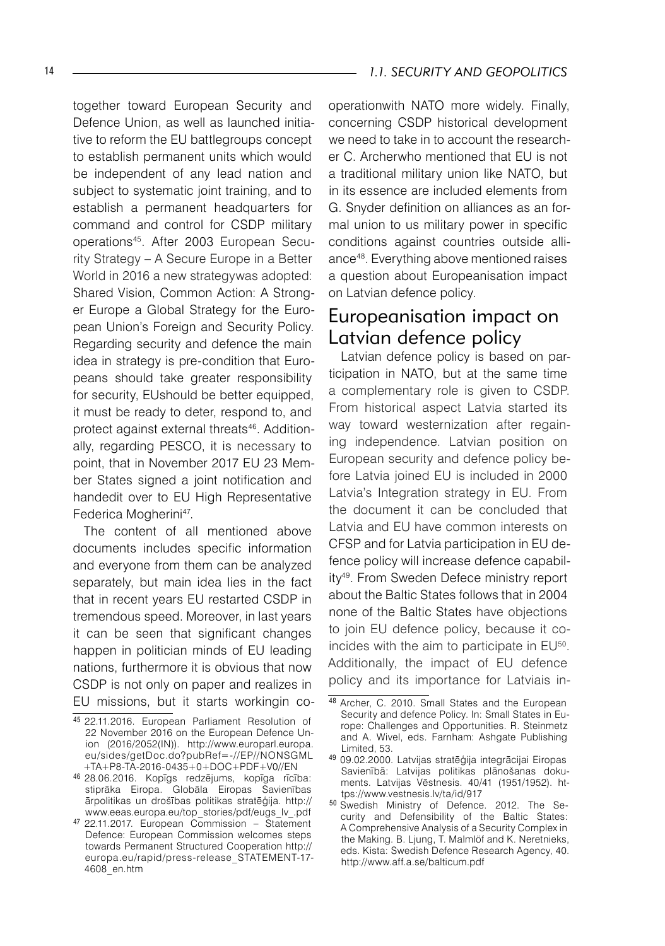together toward European Security and Defence Union, as well as launched initiative to reform the EU battlegroups concept to establish permanent units which would be independent of any lead nation and subject to systematic joint training, and to establish a permanent headquarters for command and control for CSDP military operations45. After 2003 European Security Strategy – A Secure Europe in a Better World in 2016 a new strategywas adopted: Shared Vision, Common Action: A Stronger Europe a Global Strategy for the European Union's Foreign and Security Policy. Regarding security and defence the main idea in strategy is pre-condition that Europeans should take greater responsibility for security, EUshould be better equipped, it must be ready to deter, respond to, and protect against external threats<sup>46</sup>. Additionally, regarding PESCO, it is necessary to point, that in November 2017 EU 23 Member States signed a joint notification and handedit over to EU High Representative Federica Mogherini47 .

The content of all mentioned above documents includes specific information and everyone from them can be analyzed separately, but main idea lies in the fact that in recent years EU restarted CSDP in tremendous speed. Moreover, in last years it can be seen that significant changes happen in politician minds of EU leading nations, furthermore it is obvious that now CSDP is not only on paper and realizes in EU missions, but it starts workingin cooperationwith NATO more widely. Finally, concerning CSDP historical development we need to take in to account the researcher C. Archerwho mentioned that EU is not a traditional military union like NATO, but in its essence are included elements from G. Snyder definition on alliances as an formal union to us military power in specific conditions against countries outside alliance48 . Everything above mentioned raises a question about Europeanisation impact on Latvian defence policy.

### Europeanisation impact on Latvian defence policy

Latvian defence policy is based on participation in NATO, but at the same time a complementary role is given to CSDP. From historical aspect Latvia started its way toward westernization after regaining independence. Latvian position on European security and defence policy before Latvia joined EU is included in 2000 Latvia's Integration strategy in EU. From the document it can be concluded that Latvia and EU have common interests on CFSP and for Latvia participation in EU defence policy will increase defence capability49 . From Sweden Defece ministry report about the Baltic States follows that in 2004 none of the Baltic States have objections to join EU defence policy, because it coincides with the aim to participate in EU50. Additionally, the impact of EU defence policy and its importance for Latviais in-

<sup>45</sup> 22.11.2016. European Parliament Resolution of 22 November 2016 on the European Defence Union (2016/2052(IN)). http://www.europarl.europa. eu/sides/getDoc.do?pubRef=-//EP//NONSGML +TA+P8-TA-2016-0435+0+DOC+PDF+V0//EN

<sup>46</sup> 28.06.2016. Kopīgs redzējums, kopīga rīcība: stiprāka Eiropa. Globāla Eiropas Savienības ārpolitikas un drošības politikas stratēģija. http:// www.eeas.europa.eu/top\_stories/pdf/eugs\_lv\_.pdf

<sup>47</sup> 22.11.2017. European Commission – Statement Defence: European Commission welcomes steps towards Permanent Structured Cooperation http:// europa.eu/rapid/press-release\_STATEMENT-17- 4608\_en.htm

<sup>48</sup> Archer, C. 2010. Small States and the European Security and defence Policy. In: Small States in Europe: Challenges and Opportunities. R. Steinmetz and A. Wivel, eds. Farnham: Ashgate Publishing Limited, 53.

<sup>49</sup> 09.02.2000. Latvijas stratēģija integrācijai Eiropas Savienībā: Latvijas politikas plānošanas dokuments. Latvijas Vēstnesis. 40/41 (1951/1952). https://www.vestnesis.lv/ta/id/917

<sup>50</sup> Swedish Ministry of Defence. 2012. The Security and Defensibility of the Baltic States: A Comprehensive Analysis of a Security Complex in the Making. B. Ljung, T. Malmlöf and K. Neretnieks, eds. Kista: Swedish Defence Research Agency, 40. http://www.aff.a.se/balticum.pdf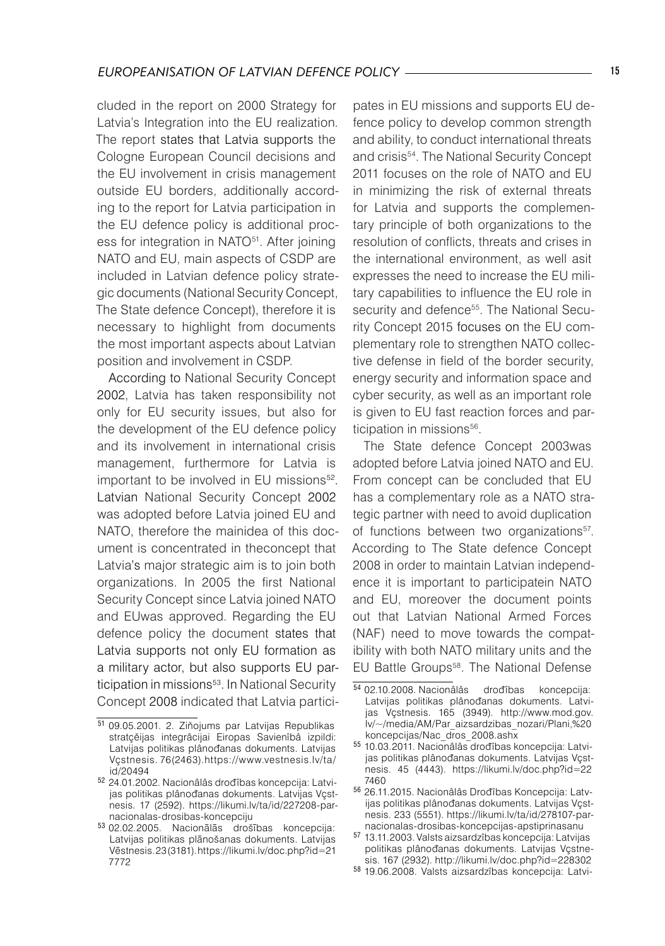cluded in the report on 2000 Strategy for Latvia's Integration into the EU realization. The report states that Latvia supports the Cologne European Council decisions and the EU involvement in crisis management outside EU borders, additionally according to the report for Latvia participation in the EU defence policy is additional process for integration in NATO<sup>51</sup>. After joining NATO and EU, main aspects of CSDP are included in Latvian defence policy strategic documents (National Security Concept, The State defence Concept), therefore it is necessary to highlight from documents the most important aspects about Latvian position and involvement in CSDP.

According to National Security Concept 2002, Latvia has taken responsibility not only for EU security issues, but also for the development of the EU defence policy and its involvement in international crisis management, furthermore for Latvia is important to be involved in EU missions<sup>52</sup>. Latvian National Security Concept 2002 was adopted before Latvia joined EU and NATO, therefore the mainidea of this document is concentrated in theconcept that Latvia's major strategic aim is to join both organizations. In 2005 the first National Security Concept since Latvia joined NATO and EUwas approved. Regarding the EU defence policy the document states that Latvia supports not only EU formation as a military actor, but also supports EU participation in missions<sup>53</sup>. In National Security Concept 2008 indicated that Latvia participates in EU missions and supports EU defence policy to develop common strength and ability, to conduct international threats and crisis<sup>54</sup>. The National Security Concept 2011 focuses on the role of NATO and EU in minimizing the risk of external threats for Latvia and supports the complementary principle of both organizations to the resolution of conflicts, threats and crises in the international environment, as well asit expresses the need to increase the EU military capabilities to influence the EU role in security and defence<sup>55</sup>. The National Security Concept 2015 focuses on the EU complementary role to strengthen NATO collective defense in field of the border security, energy security and information space and cyber security, as well as an important role is given to EU fast reaction forces and participation in missions<sup>56</sup>.

The State defence Concept 2003was adopted before Latvia joined NATO and EU. From concept can be concluded that EU has a complementary role as a NATO strategic partner with need to avoid duplication of functions between two organizations<sup>57</sup>. According to The State defence Concept 2008 in order to maintain Latvian independence it is important to participatein NATO and EU, moreover the document points out that Latvian National Armed Forces (NAF) need to move towards the compatibility with both NATO military units and the EU Battle Groups<sup>58</sup>. The National Defense

<sup>51 09.05.2001. 2.</sup> Ziňojums par Latvijas Republikas stratçěijas integrâcijai Eiropas Savienîbâ izpildi: Latvijas politikas plânođanas dokuments. Latvijas Vçstnesis. 76(2463).https://www.vestnesis.lv/ta/ id/20494

<sup>52 24.01.2002.</sup> Nacionâlâs drođîbas koncepcija: Latvijas politikas plânođanas dokuments. Latvijas Vçstnesis. 17 (2592). https://likumi.lv/ta/id/227208-parnacionalas-drosibas-koncepciju

<sup>53</sup> 02.02.2005. Nacionālās drošības koncepcija: Latvijas politikas plānošanas dokuments. Latvijas Vēstnesis.23(3181).https://likumi.lv/doc.php?id=21 7772

 $\frac{54}{102.10.2008}$ . Nacionâlâs drođîbas koncepcija: Latvijas politikas plânođanas dokuments. Latvijas Vçstnesis. 165 (3949). http://www.mod.gov. lv/~/media/AM/Par\_aizsardzibas\_nozari/Plani,%20 koncepcijas/Nac\_dros\_2008.ashx

<sup>55</sup> 10.03.2011. Nacionâlâs drođ îbas koncepcija: Latvijas politikas plânođanas dokuments. Latvijas Vçstnesis. 45 (4443). https://likumi.lv/doc.php?id=22 7460

<sup>56 26.11.2015.</sup> Nacionâlâs Drođîbas Koncepcija: Latvijas politikas plânođanas dokuments. Latvijas Vçstnesis. 233 (5551). https://likumi.lv/ta/id/278107-parnacionalas-drosibas-koncepcijas-apstiprinasanu

<sup>57 13.11.2003.</sup> Valsts aizsardzîbas koncepcija: Latvijas politikas plânođanas dokuments. Latvijas Vçstnesis. 167 (2932). http://likumi.lv/doc.php?id=228302

<sup>58</sup> 19.06.2008. Valsts aizsardzîbas koncepcija: Latvi-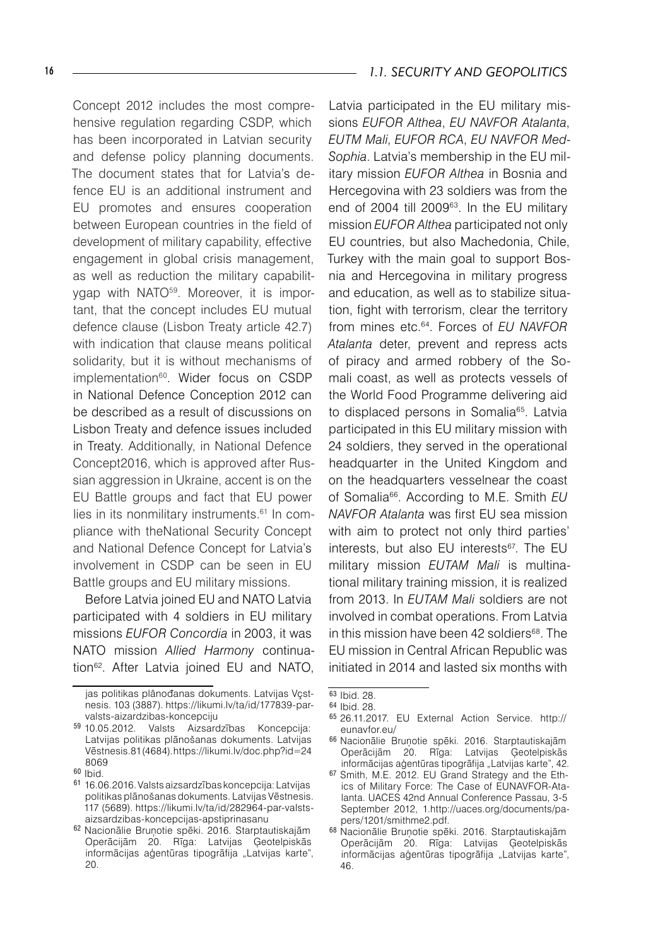Concept 2012 includes the most comprehensive regulation regarding CSDP, which has been incorporated in Latvian security and defense policy planning documents. The document states that for Latvia's defence EU is an additional instrument and EU promotes and ensures cooperation between European countries in the field of development of military capability, effective engagement in global crisis management, as well as reduction the military capabilitygap with NATO59 . Moreover, it is important, that the concept includes EU mutual defence clause (Lisbon Treaty article 42.7) with indication that clause means political solidarity, but it is without mechanisms of implementation60 . Wider focus on CSDP in National Defence Conception 2012 can be described as a result of discussions on Lisbon Treaty and defence issues included in Treaty. Additionally, in National Defence Concept2016, which is approved after Russian aggression in Ukraine, accent is on the EU Battle groups and fact that EU power lies in its nonmilitary instruments.<sup>61</sup> In compliance with theNational Security Concept and National Defence Concept for Latvia's involvement in CSDP can be seen in EU Battle groups and EU military missions.

Before Latvia joined EU and NATO Latvia participated with 4 soldiers in EU military missions *EUFOR Concordia* in 2003, it was NATO mission *Allied Harmony* continuation62. After Latvia joined EU and NATO,

Latvia participated in the EU military missions *EUFOR Althea*, *EU NAVFOR Atalanta*, *EUTM Mali*, *EUFOR RCA*, *EU NAVFOR Med-Sophia*. Latvia's membership in the EU military mission *EUFOR Althea* in Bosnia and Hercegovina with 23 soldiers was from the end of 2004 till 2009<sup>63</sup>. In the EU militarv mission *EUFOR Althea* participated not only EU countries, but also Machedonia, Chile, Turkey with the main goal to support Bosnia and Hercegovina in military progress and education, as well as to stabilize situation, fight with terrorism, clear the territory from mines etc.64. Forces of *EU NAVFOR Atalanta* deter, prevent and repress acts of piracy and armed robbery of the Somali coast, as well as protects vessels of the World Food Programme delivering aid to displaced persons in Somalia<sup>65</sup>. Latvia participated in this EU military mission with 24 soldiers, they served in the operational headquarter in the United Kingdom and on the headquarters vesselnear the coast of Somalia66. According to M.E. Smith *EU NAVFOR Atalanta* was first EU sea mission with aim to protect not only third parties' interests, but also EU interests<sup>67</sup>. The EU military mission *EUTAM Mali* is multinational military training mission, it is realized from 2013. In *EUTAM Mali* soldiers are not involved in combat operations. From Latvia in this mission have been 42 soldiers<sup>68</sup>. The EU mission in Central African Republic was initiated in 2014 and lasted six months with

jas politikas plânođanas dokuments. Latvijas Vçstnesis. 103 (3887). https://likumi.lv/ta/id/177839-parvalsts-aizardzibas-koncepciju<br>59 10.05.2012. Valsts Aizsarc

Valsts Aizsardzības Koncepcija: Latvijas politikas plānošanas dokuments. Latvijas Vēstnesis.81(4684).https://likumi.lv/doc.php?id=24 8069

<sup>60</sup> Ibid.

<sup>61 16.06.2016.</sup> Valsts aizsardzības koncepcija: Latvijas politikas plānošanas dokuments. Latvijas Vēstnesis. 117 (5689). https://likumi.lv/ta/id/282964-par-valstsaizsardzibas-koncepcijas-apstiprinasanu

<sup>62</sup> Nacionālie Bruņotie spēki. 2016. Starptautiskajām Operācijām 20. Rīga: Latvijas Ģeotelpiskās informācijas aģentūras tipogrāfija "Latvijas karte", 20.

 $63$  Ibid. 28.

<sup>64</sup> Ibid. 28.

<sup>65</sup> 26.11.2017. EU External Action Service. http:// eunavfor.eu/

<sup>66</sup> Nacionālie Bruņotie spēki. 2016. Starptautiskajām Operācijām 20. Rīga: Latvijas Ģeotelpiskās informācijas aģentūras tipogrāfija "Latvijas karte", 42.

<sup>&</sup>lt;sup>67</sup> Smith, M.E. 2012. EU Grand Strategy and the Ethics of Military Force: The Case of EUNAVFOR-Atalanta. UACES 42nd Annual Conference Passau, 3-5 September 2012, 1.http://uaces.org/documents/papers/1201/smithme2.pdf.

<sup>68</sup> Nacionālie Bruņotie spēki. 2016. Starptautiskajām Operācijām 20. Rīga: Latvijas Ģeotelpiskās informācijas aģentūras tipogrāfija "Latvijas karte", 46.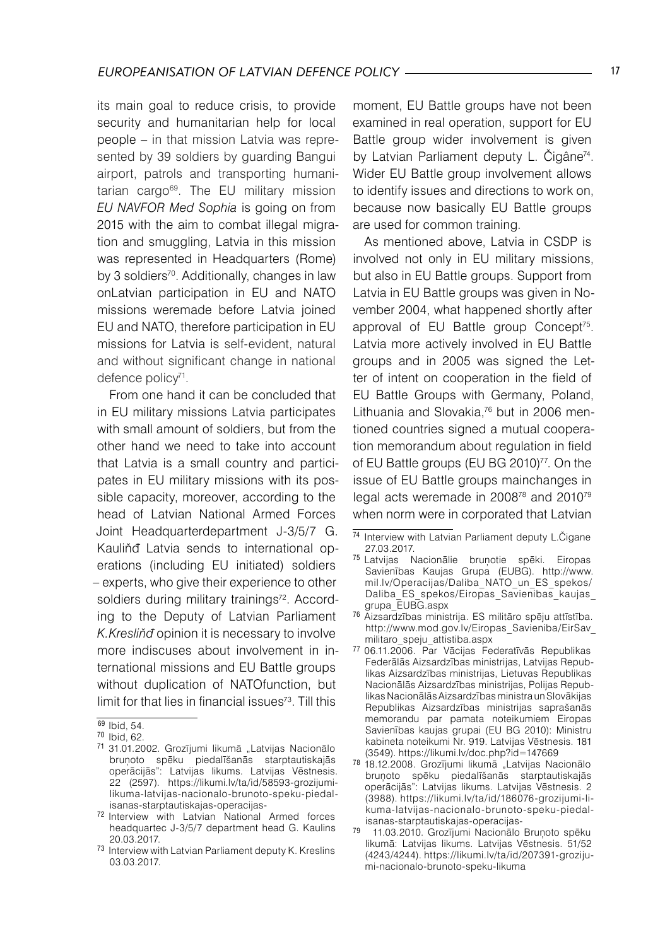its main goal to reduce crisis, to provide security and humanitarian help for local people – in that mission Latvia was represented by 39 soldiers by guarding Bangui airport, patrols and transporting humanitarian cargo<sup>69</sup>. The EU military mission *EU NAVFOR Med Sophia* is going on from 2015 with the aim to combat illegal migration and smuggling, Latvia in this mission was represented in Headquarters (Rome) by 3 soldiers<sup>70</sup>. Additionally, changes in law onLatvian participation in EU and NATO missions weremade before Latvia joined EU and NATO, therefore participation in EU missions for Latvia is self-evident, natural and without significant change in national defence policy<sup>71</sup>.

From one hand it can be concluded that in EU military missions Latvia participates with small amount of soldiers, but from the other hand we need to take into account that Latvia is a small country and participates in EU military missions with its possible capacity, moreover, according to the head of Latvian National Armed Forces Joint Headquarterdepartment J-3/5/7 G. Kauliňđ Latvia sends to international operations (including EU initiated) soldiers – experts, who give their experience to other soldiers during military trainings<sup>72</sup>. According to the Deputy of Latvian Parliament *K.Kresliňđ* opinion it is necessary to involve more indiscuses about involvement in international missions and EU Battle groups without duplication of NATOfunction, but limit for that lies in financial issues<sup>73</sup>. Till this

moment, EU Battle groups have not been examined in real operation, support for EU Battle group wider involvement is given by Latvian Parliament deputy L. Cigâne<sup>74</sup>. Wider EU Battle group involvement allows to identify issues and directions to work on, because now basically EU Battle groups are used for common training.

As mentioned above, Latvia in CSDP is involved not only in EU military missions, but also in EU Battle groups. Support from Latvia in EU Battle groups was given in November 2004, what happened shortly after approval of EU Battle group Concept75 . Latvia more actively involved in EU Battle groups and in 2005 was signed the Letter of intent on cooperation in the field of EU Battle Groups with Germany, Poland, Lithuania and Slovakia,<sup>76</sup> but in 2006 mentioned countries signed a mutual cooperation memorandum about regulation in field of EU Battle groups (EU BG 2010)<sup>77</sup>. On the issue of EU Battle groups mainchanges in legal acts weremade in 200878 and 201079 when norm were in corporated that Latvian

<sup>69</sup> Ibid, 54.

<sup>70</sup> Ibid, 62.

<sup>71 31.01.2002.</sup> Grozījumi likumā "Latvijas Nacionālo bruņoto spēku piedalīšanās starptautiskajās operācijās": Latvijas likums. Latvijas Vēstnesis. 22 (2597). https://likumi.lv/ta/id/58593-grozijumilikuma-latvijas-nacionalo-brunoto-speku-piedalisanas-starptautiskajas-operacijas-

<sup>72</sup> Interview with Latvian National Armed forces headquartec J-3/5/7 department head G. Kaulins 20.03.2017.

<sup>73</sup> Interview with Latvian Parliament deputy K. Kreslins 03.03.2017.

<sup>74</sup> Interview with Latvian Parliament deputy L.Čigane 27.03.2017.

<sup>75</sup> Latvijas Nacionālie bruņotie spēki. Eiropas Savienības Kaujas Grupa (EUBG). http://www. mil.lv/Operacijas/Daliba\_NATO\_un\_ES\_spekos/ Daliba\_ES\_spekos/Eiropas\_Savienibas\_kaujas\_ grupa\_EUBG.aspx

<sup>76</sup> Aizsardzības ministrija. ES militāro spēju attīstība. http://www.mod.gov.lv/Eiropas\_Savieniba/EirSav\_ militaro\_speju\_attistiba.aspx

<sup>77</sup> 06.11.2006. Par Vācijas Federatīvās Republikas Federālās Aizsardzības ministrijas, Latvijas Republikas Aizsardzības ministrijas, Lietuvas Republikas Nacionālās Aizsardzības ministrijas, Polijas Republikas Nacionālās Aizsardzības ministra un Slovākijas Republikas Aizsardzības ministrijas saprašanās memorandu par pamata noteikumiem Eiropas Savienības kaujas grupai (EU BG 2010): Ministru kabineta noteikumi Nr. 919. Latvijas Vēstnesis. 181 (3549). https://likumi.lv/doc.php?id=147669

<sup>&</sup>lt;sup>78</sup> 18.12.2008. Grozījumi likumā "Latvijas Nacionālo bruņoto spēku piedalīšanās starptautiskajās operācijās": Latvijas likums. Latvijas Vēstnesis. 2 (3988). https://likumi.lv/ta/id/186076-grozijumi-likuma-latvijas-nacionalo-brunoto-speku-piedalisanas-starptautiskajas-operacijas-

<sup>79</sup> 11.03.2010. Grozījumi Nacionālo Bruņoto spēku likumā: Latvijas likums. Latvijas Vēstnesis. 51/52 (4243/4244). https://likumi.lv/ta/id/207391-grozijumi-nacionalo-brunoto-speku-likuma